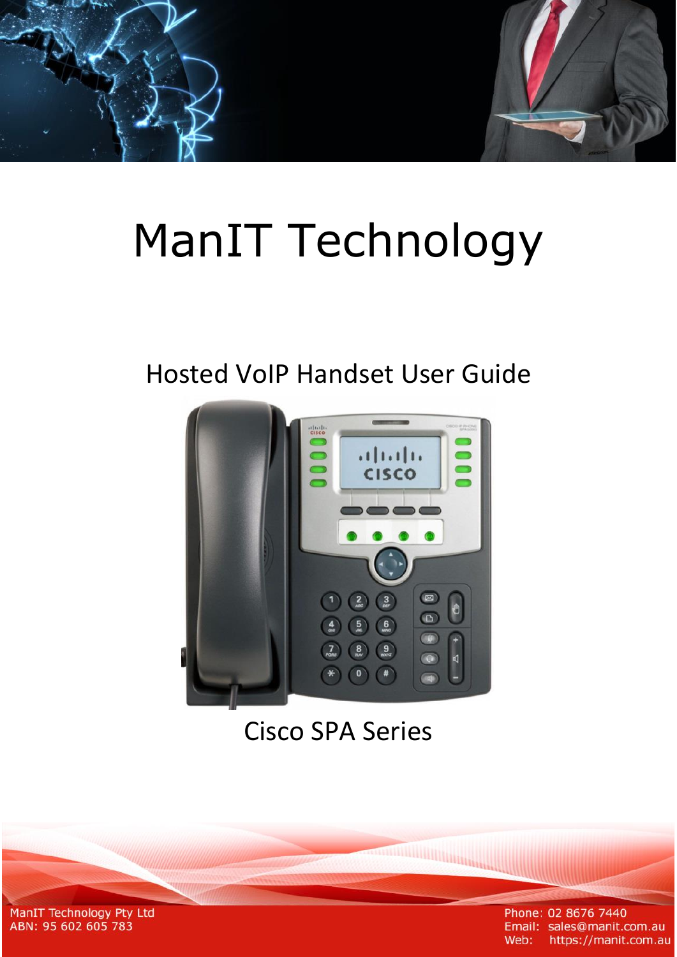# ManIT Technology

## Hosted VoIP Handset User Guide



## Cisco SPA Series

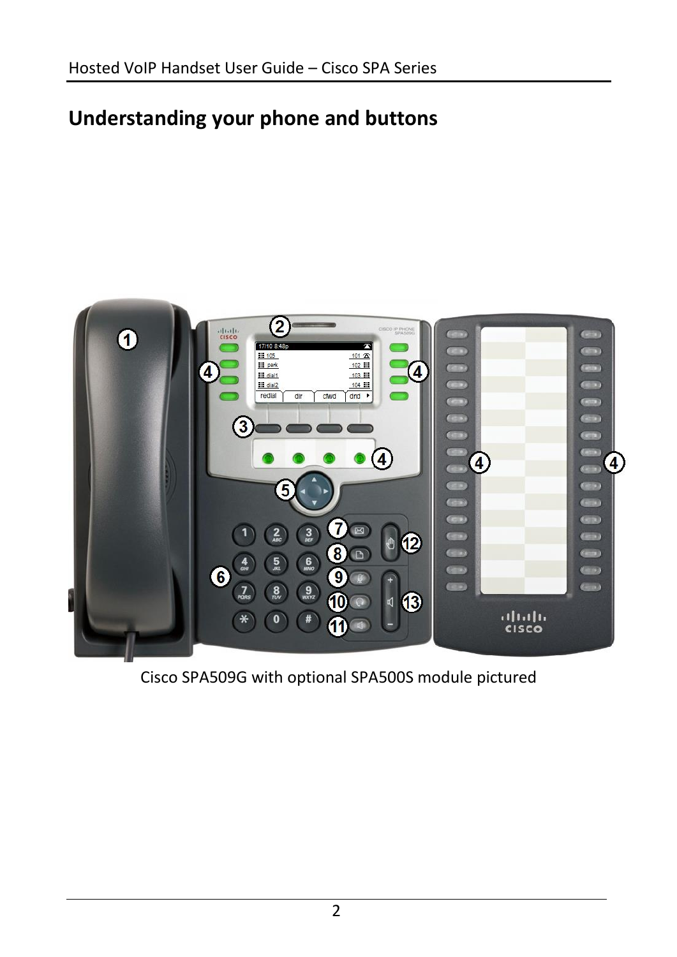## **Understanding your phone and buttons**



Cisco SPA509G with optional SPA500S module pictured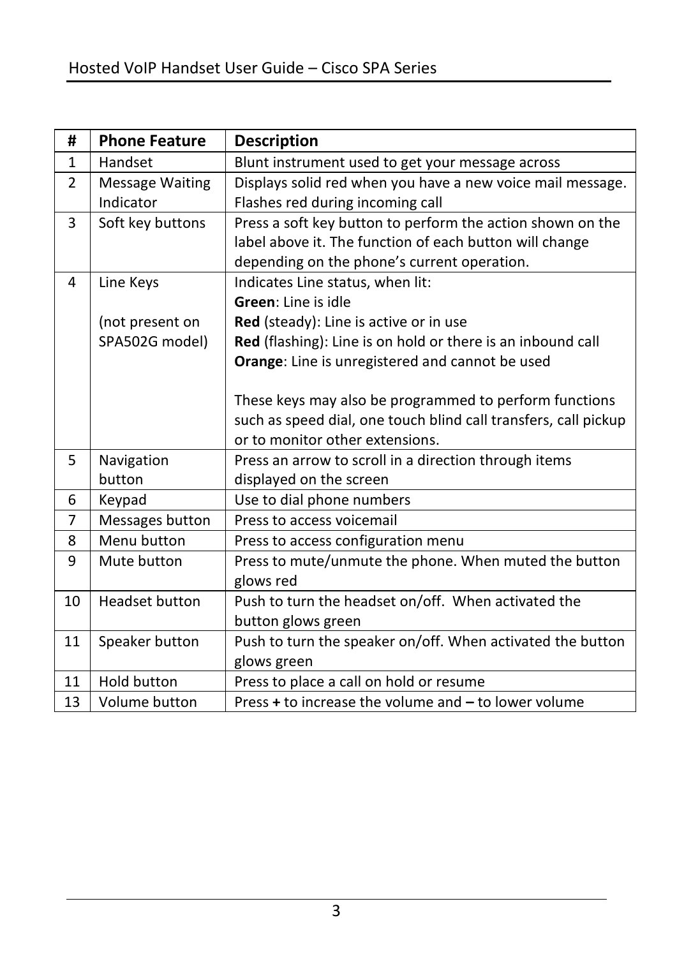| #            | <b>Phone Feature</b>   | <b>Description</b>                                              |  |
|--------------|------------------------|-----------------------------------------------------------------|--|
| $\mathbf{1}$ | Handset                | Blunt instrument used to get your message across                |  |
| 2            | <b>Message Waiting</b> | Displays solid red when you have a new voice mail message.      |  |
|              | Indicator              | Flashes red during incoming call                                |  |
| 3            | Soft key buttons       | Press a soft key button to perform the action shown on the      |  |
|              |                        | label above it. The function of each button will change         |  |
|              |                        | depending on the phone's current operation.                     |  |
| 4            | Line Keys              | Indicates Line status, when lit:                                |  |
|              |                        | Green: Line is idle                                             |  |
|              | (not present on        | Red (steady): Line is active or in use                          |  |
|              | SPA502G model)         | Red (flashing): Line is on hold or there is an inbound call     |  |
|              |                        | Orange: Line is unregistered and cannot be used                 |  |
|              |                        |                                                                 |  |
|              |                        | These keys may also be programmed to perform functions          |  |
|              |                        | such as speed dial, one touch blind call transfers, call pickup |  |
|              |                        | or to monitor other extensions.                                 |  |
| 5            | Navigation             | Press an arrow to scroll in a direction through items           |  |
|              | button                 | displayed on the screen                                         |  |
| 6            | Keypad                 | Use to dial phone numbers                                       |  |
| 7            | Messages button        | Press to access voicemail                                       |  |
| 8            | Menu button            | Press to access configuration menu                              |  |
| 9            | Mute button            | Press to mute/unmute the phone. When muted the button           |  |
|              |                        | glows red                                                       |  |
| 10           | <b>Headset button</b>  | Push to turn the headset on/off. When activated the             |  |
|              |                        | button glows green                                              |  |
| 11           | Speaker button         | Push to turn the speaker on/off. When activated the button      |  |
|              |                        | glows green                                                     |  |
| 11           | <b>Hold button</b>     | Press to place a call on hold or resume                         |  |
| 13           | Volume button          | Press + to increase the volume and - to lower volume            |  |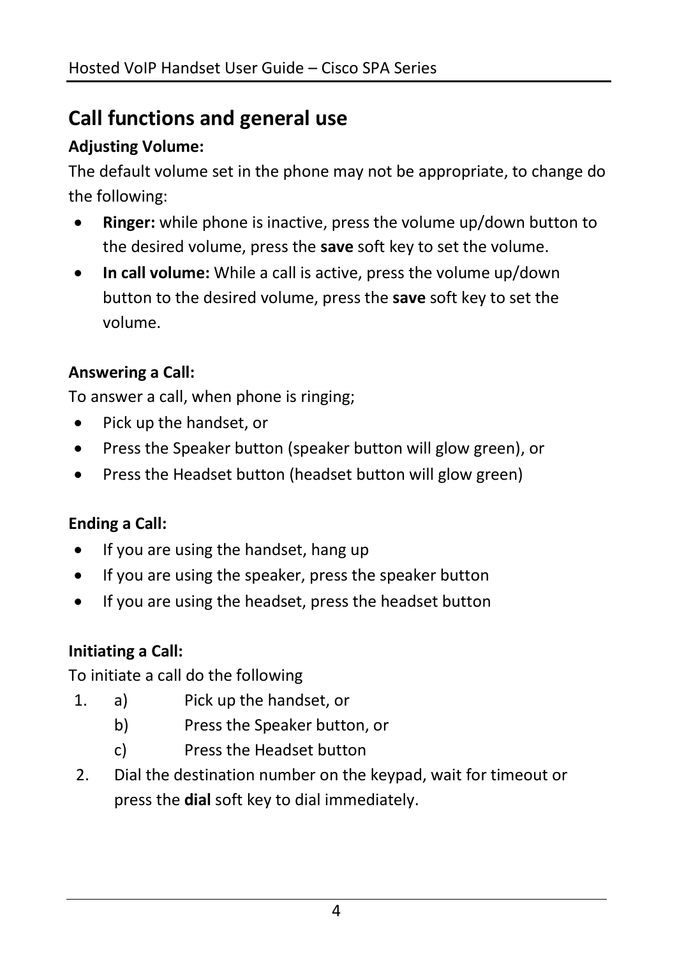## **Call functions and general use**

## **Adjusting Volume:**

The default volume set in the phone may not be appropriate, to change do the following:

- **Ringer:** while phone is inactive, press the volume up/down button to the desired volume, press the **save** soft key to set the volume.
- **In call volume:** While a call is active, press the volume up/down button to the desired volume, press the **save** soft key to set the volume.

## **Answering a Call:**

To answer a call, when phone is ringing;

- Pick up the handset, or
- Press the Speaker button (speaker button will glow green), or
- Press the Headset button (headset button will glow green)

## **Ending a Call:**

- $\bullet$  If you are using the handset, hang up
- If you are using the speaker, press the speaker button
- If you are using the headset, press the headset button

## **Initiating a Call:**

To initiate a call do the following

- 1. a) Pick up the handset, or
	- b) Press the Speaker button, or
	- c) Press the Headset button
- 2. Dial the destination number on the keypad, wait for timeout or press the **dial** soft key to dial immediately.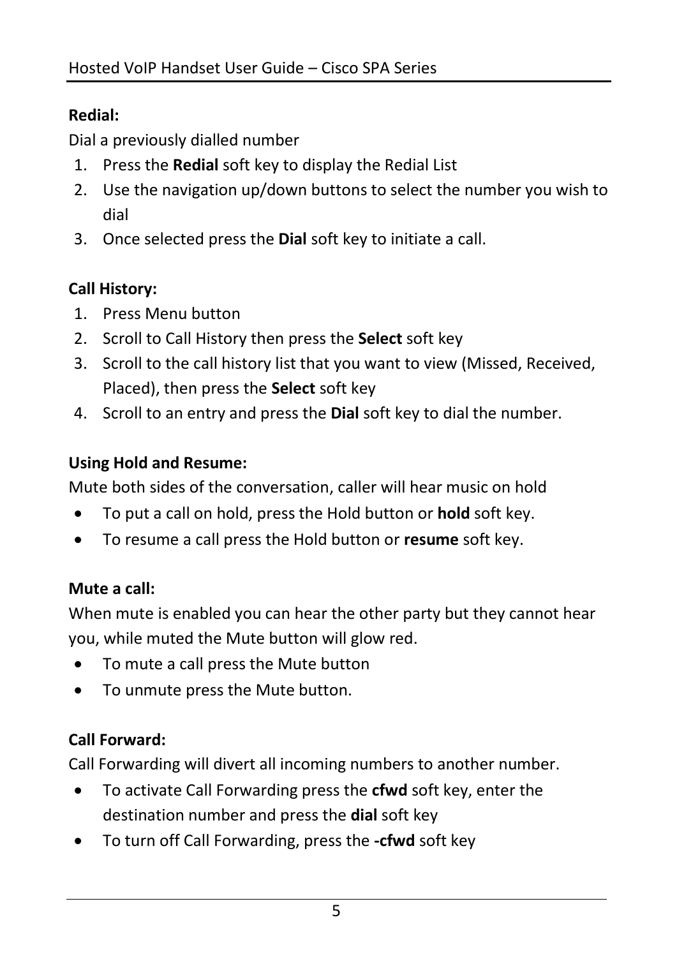## **Redial:**

Dial a previously dialled number

- 1. Press the **Redial** soft key to display the Redial List
- 2. Use the navigation up/down buttons to select the number you wish to dial
- 3. Once selected press the **Dial** soft key to initiate a call.

## **Call History:**

- 1. Press Menu button
- 2. Scroll to Call History then press the **Select** soft key
- 3. Scroll to the call history list that you want to view (Missed, Received, Placed), then press the **Select** soft key
- 4. Scroll to an entry and press the **Dial** soft key to dial the number.

## **Using Hold and Resume:**

Mute both sides of the conversation, caller will hear music on hold

- To put a call on hold, press the Hold button or **hold** soft key.
- To resume a call press the Hold button or **resume** soft key.

## **Mute a call:**

When mute is enabled you can hear the other party but they cannot hear you, while muted the Mute button will glow red.

- To mute a call press the Mute button
- To unmute press the Mute button.

## **Call Forward:**

Call Forwarding will divert all incoming numbers to another number.

- To activate Call Forwarding press the **cfwd** soft key, enter the destination number and press the **dial** soft key
- To turn off Call Forwarding, press the **-cfwd** soft key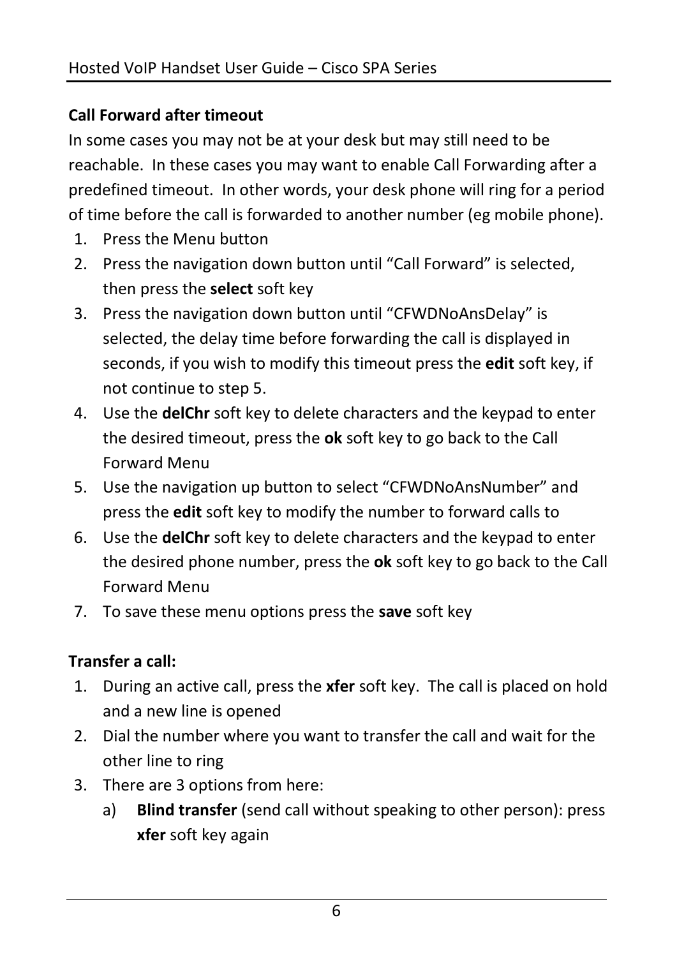## **Call Forward after timeout**

In some cases you may not be at your desk but may still need to be reachable. In these cases you may want to enable Call Forwarding after a predefined timeout. In other words, your desk phone will ring for a period of time before the call is forwarded to another number (eg mobile phone).

- 1. Press the Menu button
- 2. Press the navigation down button until "Call Forward" is selected, then press the **select** soft key
- 3. Press the navigation down button until "CFWDNoAnsDelay" is selected, the delay time before forwarding the call is displayed in seconds, if you wish to modify this timeout press the **edit** soft key, if not continue to step 5.
- 4. Use the **delChr** soft key to delete characters and the keypad to enter the desired timeout, press the **ok** soft key to go back to the Call Forward Menu
- 5. Use the navigation up button to select "CFWDNoAnsNumber" and press the **edit** soft key to modify the number to forward calls to
- 6. Use the **delChr** soft key to delete characters and the keypad to enter the desired phone number, press the **ok** soft key to go back to the Call Forward Menu
- 7. To save these menu options press the **save** soft key

## **Transfer a call:**

- 1. During an active call, press the **xfer** soft key. The call is placed on hold and a new line is opened
- 2. Dial the number where you want to transfer the call and wait for the other line to ring
- 3. There are 3 options from here:
	- a) **Blind transfer** (send call without speaking to other person): press **xfer** soft key again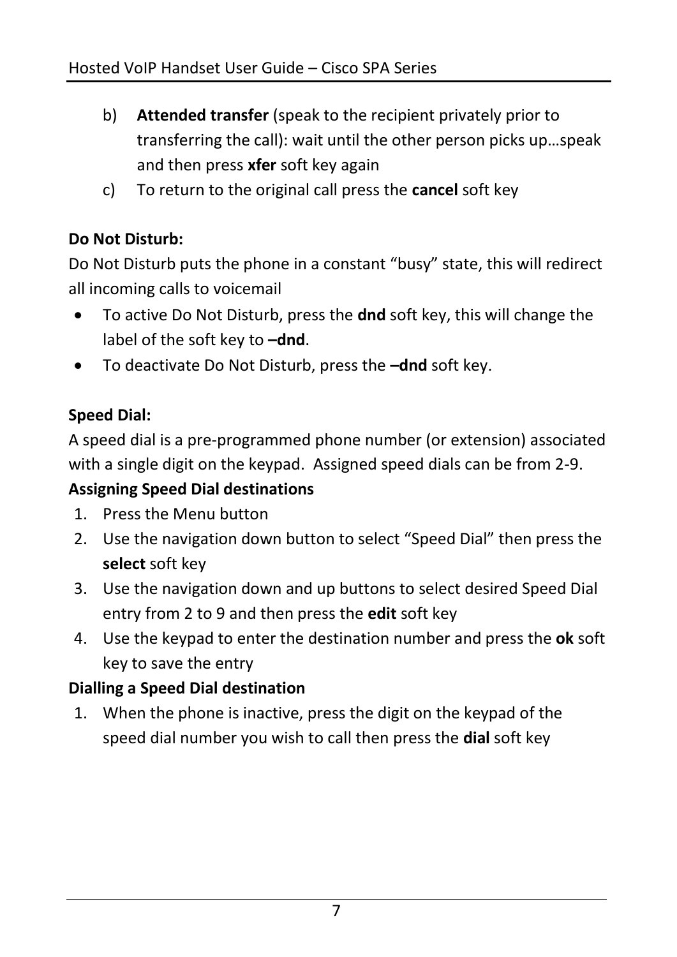- b) **Attended transfer** (speak to the recipient privately prior to transferring the call): wait until the other person picks up…speak and then press **xfer** soft key again
- c) To return to the original call press the **cancel** soft key

## **Do Not Disturb:**

Do Not Disturb puts the phone in a constant "busy" state, this will redirect all incoming calls to voicemail

- To active Do Not Disturb, press the **dnd** soft key, this will change the label of the soft key to **–dnd**.
- To deactivate Do Not Disturb, press the **–dnd** soft key.

## **Speed Dial:**

A speed dial is a pre-programmed phone number (or extension) associated with a single digit on the keypad. Assigned speed dials can be from 2-9.

## **Assigning Speed Dial destinations**

- 1. Press the Menu button
- 2. Use the navigation down button to select "Speed Dial" then press the **select** soft key
- 3. Use the navigation down and up buttons to select desired Speed Dial entry from 2 to 9 and then press the **edit** soft key
- 4. Use the keypad to enter the destination number and press the **ok** soft key to save the entry

## **Dialling a Speed Dial destination**

1. When the phone is inactive, press the digit on the keypad of the speed dial number you wish to call then press the **dial** soft key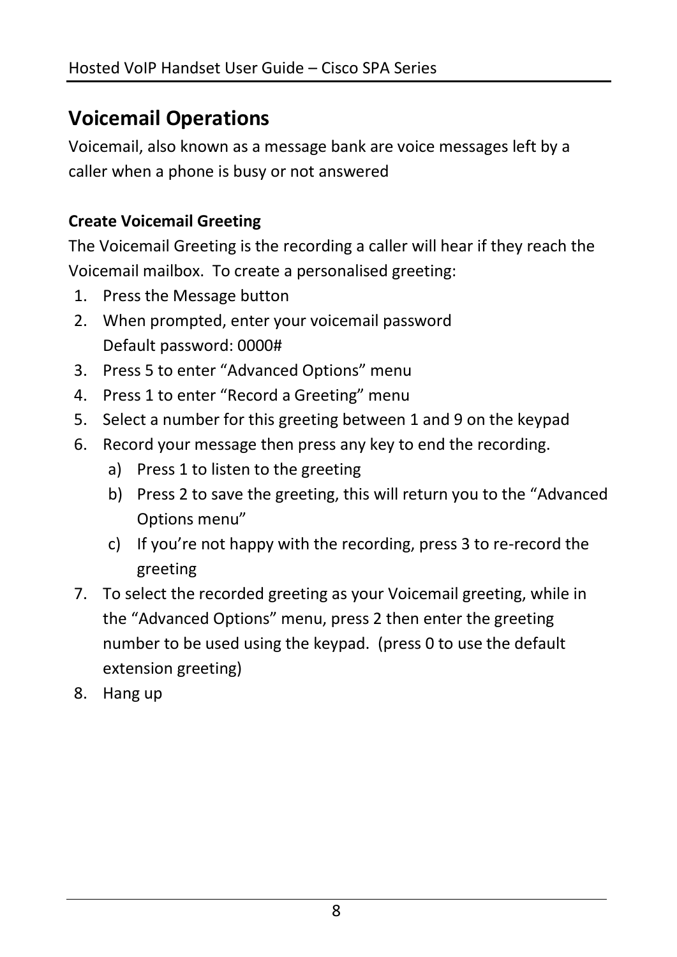## **Voicemail Operations**

Voicemail, also known as a message bank are voice messages left by a caller when a phone is busy or not answered

## **Create Voicemail Greeting**

The Voicemail Greeting is the recording a caller will hear if they reach the Voicemail mailbox. To create a personalised greeting:

- 1. Press the Message button
- 2. When prompted, enter your voicemail password Default password: 0000#
- 3. Press 5 to enter "Advanced Options" menu
- 4. Press 1 to enter "Record a Greeting" menu
- 5. Select a number for this greeting between 1 and 9 on the keypad
- 6. Record your message then press any key to end the recording.
	- a) Press 1 to listen to the greeting
	- b) Press 2 to save the greeting, this will return you to the "Advanced Options menu"
	- c) If you're not happy with the recording, press 3 to re-record the greeting
- 7. To select the recorded greeting as your Voicemail greeting, while in the "Advanced Options" menu, press 2 then enter the greeting number to be used using the keypad. (press 0 to use the default extension greeting)
- 8. Hang up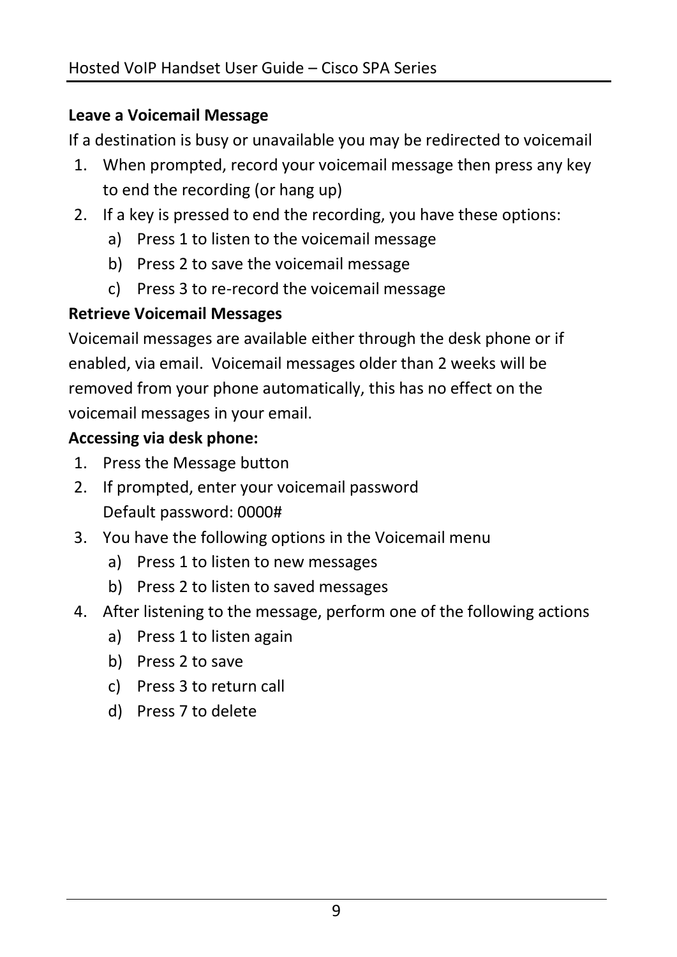### **Leave a Voicemail Message**

If a destination is busy or unavailable you may be redirected to voicemail

- 1. When prompted, record your voicemail message then press any key to end the recording (or hang up)
- 2. If a key is pressed to end the recording, you have these options:
	- a) Press 1 to listen to the voicemail message
	- b) Press 2 to save the voicemail message
	- c) Press 3 to re-record the voicemail message

## **Retrieve Voicemail Messages**

Voicemail messages are available either through the desk phone or if enabled, via email. Voicemail messages older than 2 weeks will be removed from your phone automatically, this has no effect on the voicemail messages in your email.

## **Accessing via desk phone:**

- 1. Press the Message button
- 2. If prompted, enter your voicemail password Default password: 0000#
- 3. You have the following options in the Voicemail menu
	- a) Press 1 to listen to new messages
	- b) Press 2 to listen to saved messages
- 4. After listening to the message, perform one of the following actions
	- a) Press 1 to listen again
	- b) Press 2 to save
	- c) Press 3 to return call
	- d) Press 7 to delete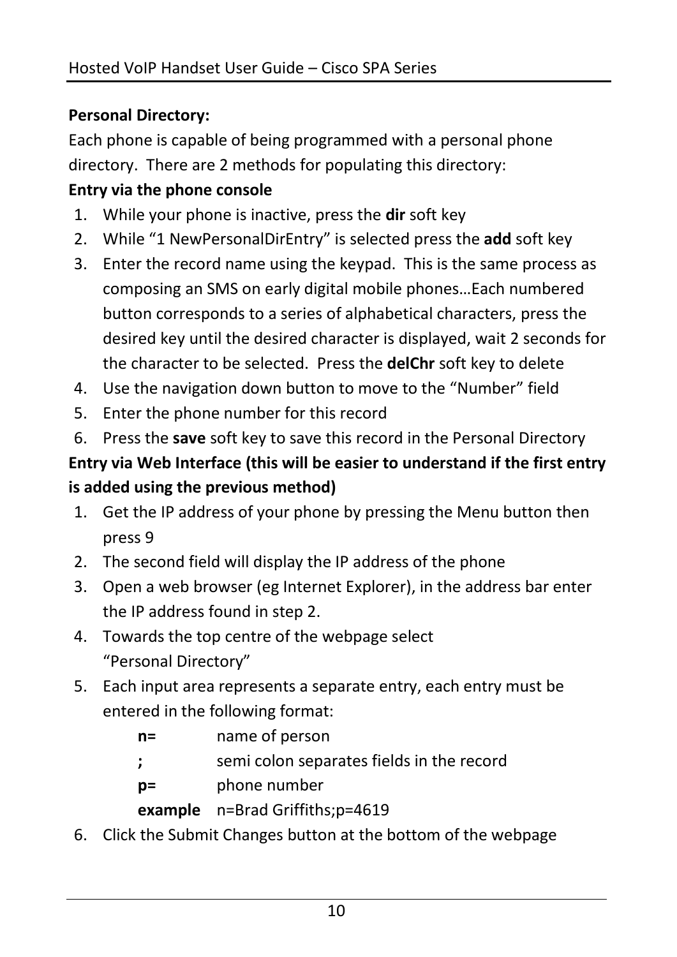## **Personal Directory:**

Each phone is capable of being programmed with a personal phone directory. There are 2 methods for populating this directory:

#### **Entry via the phone console**

- 1. While your phone is inactive, press the **dir** soft key
- 2. While "1 NewPersonalDirEntry" is selected press the **add** soft key
- 3. Enter the record name using the keypad. This is the same process as composing an SMS on early digital mobile phones…Each numbered button corresponds to a series of alphabetical characters, press the desired key until the desired character is displayed, wait 2 seconds for the character to be selected. Press the **delChr** soft key to delete
- 4. Use the navigation down button to move to the "Number" field
- 5. Enter the phone number for this record
- 6. Press the **save** soft key to save this record in the Personal Directory

## **Entry via Web Interface (this will be easier to understand if the first entry is added using the previous method)**

- 1. Get the IP address of your phone by pressing the Menu button then press 9
- 2. The second field will display the IP address of the phone
- 3. Open a web browser (eg Internet Explorer), in the address bar enter the IP address found in step 2.
- 4. Towards the top centre of the webpage select "Personal Directory"
- 5. Each input area represents a separate entry, each entry must be entered in the following format:

| name of person                            |
|-------------------------------------------|
| semi colon separates fields in the record |
| phone number                              |
| example n=Brad Griffiths;p=4619           |
|                                           |

6. Click the Submit Changes button at the bottom of the webpage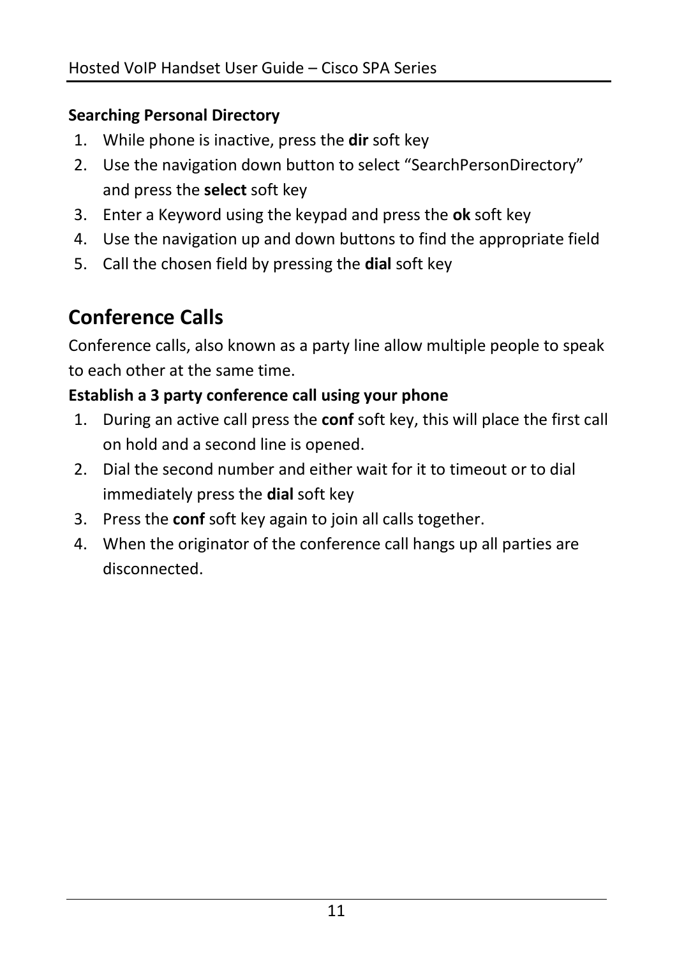### **Searching Personal Directory**

- 1. While phone is inactive, press the **dir** soft key
- 2. Use the navigation down button to select "SearchPersonDirectory" and press the **select** soft key
- 3. Enter a Keyword using the keypad and press the **ok** soft key
- 4. Use the navigation up and down buttons to find the appropriate field
- 5. Call the chosen field by pressing the **dial** soft key

## **Conference Calls**

Conference calls, also known as a party line allow multiple people to speak to each other at the same time.

## **Establish a 3 party conference call using your phone**

- 1. During an active call press the **conf** soft key, this will place the first call on hold and a second line is opened.
- 2. Dial the second number and either wait for it to timeout or to dial immediately press the **dial** soft key
- 3. Press the **conf** soft key again to join all calls together.
- 4. When the originator of the conference call hangs up all parties are disconnected.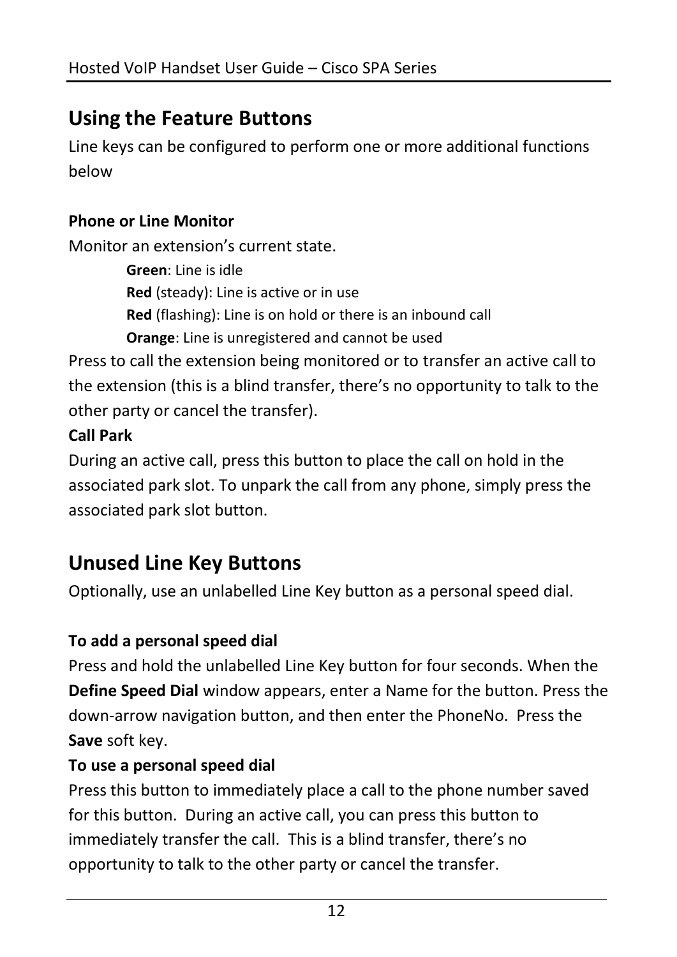## **Using the Feature Buttons**

Line keys can be configured to perform one or more additional functions below

### **Phone or Line Monitor**

Monitor an extension's current state.

**Green**: Line is idle **Red** (steady): Line is active or in use **Red** (flashing): Line is on hold or there is an inbound call **Orange**: Line is unregistered and cannot be used

Press to call the extension being monitored or to transfer an active call to the extension (this is a blind transfer, there's no opportunity to talk to the other party or cancel the transfer).

#### **Call Park**

During an active call, press this button to place the call on hold in the associated park slot. To unpark the call from any phone, simply press the associated park slot button.

## **Unused Line Key Buttons**

Optionally, use an unlabelled Line Key button as a personal speed dial.

## **To add a personal speed dial**

Press and hold the unlabelled Line Key button for four seconds. When the **Define Speed Dial** window appears, enter a Name for the button. Press the down-arrow navigation button, and then enter the PhoneNo. Press the **Save** soft key.

#### **To use a personal speed dial**

Press this button to immediately place a call to the phone number saved for this button. During an active call, you can press this button to immediately transfer the call. This is a blind transfer, there's no opportunity to talk to the other party or cancel the transfer.